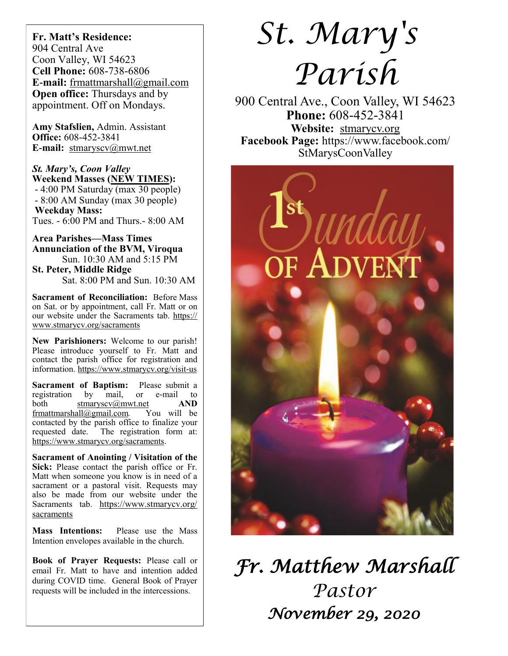**Fr. Matt's Residence:**  904 Central Ave Coon Valley, WI 54623 **Cell Phone:** 608-738-6806 **E-mail:** [frmattmarshall@gmail.com](mailto:frmattmarshall@gmail.com) **Open office:** Thursdays and by appointment. Off on Mondays.

**Amy Stafslien,** Admin. Assistant **Office:** 608-452-3841 **E-mail:** [stmaryscv@mwt.net](mailto:stmaryscv@mwt.net)

*St. Mary's, Coon Valley*  **Weekend Masses (NEW TIMES):** - 4:00 PM Saturday (max 30 people) - 8:00 AM Sunday (max 30 people) **Weekday Mass:**  Tues. - 6:00 PM and Thurs.- 8:00 AM

**Area Parishes—Mass Times Annunciation of the BVM, Viroqua** Sun. 10:30 AM and 5:15 PM

**St. Peter, Middle Ridge** Sat. 8:00 PM and Sun. 10:30 AM

**Sacrament of Reconciliation:** Before Mass on Sat. or by appointment, call Fr. Matt or on our website under the Sacraments tab. [https://](https://www.stmarycv.org/sacraments) [www.stmarycv.org/sacraments](https://www.stmarycv.org/sacraments)

**New Parishioners:** Welcome to our parish! Please introduce yourself to Fr. Matt and contact the parish office for registration and information. <https://www.stmarycv.org/visit-us>

**Sacrament of Baptism:** Please submit a registration by mail, or e-mail to registration by mail, or e-mail to both [stmaryscv@mwt.net](mailto:stmaryscv@mwt.net) **AND** [frmattmarshall@gmail.com](mailto:frmattmarshall@gmail.com)*.* You will be contacted by the parish office to finalize your requested date. The registration form at: <https://www.stmarycv.org/sacraments>.

**Sacrament of Anointing / Visitation of the Sick:** Please contact the parish office or Fr. Matt when someone you know is in need of a sacrament or a pastoral visit. Requests may also be made from our website under the Sacraments tab. [https://www.stmarycv.org/](https://www.stmarycv.org/sacraments) [sacraments](https://www.stmarycv.org/sacraments)

**Mass Intentions:** Please use the Mass Intention envelopes available in the church.

**Book of Prayer Requests:** Please call or email Fr. Matt to have and intention added during COVID time. General Book of Prayer requests will be included in the intercessions.

# *St. Mary's Parish*

900 Central Ave., Coon Valley, WI 54623 **Phone:** 608-452-3841 **Website:** <stmarycv.org> **Facebook Page:** https://www.facebook.com/ StMarysCoonValley



*Fr. Matthew Marshall Pastor November 29, 2020*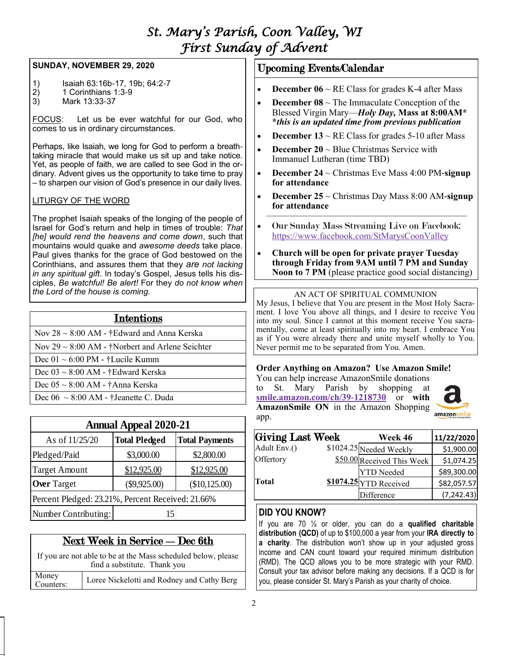## *St. Mary's Parish, Coon Valley, WI First Sunday of Advent*

## **SUNDAY, NOVEMBER 29, 2020**

- 1) Isaiah 63:16b-17, 19b; 64:2-7
- $2)$  1 Corinthians 1:3-9
- 3) Mark 13:33-37

FOCUS: Let us be ever watchful for our God, who comes to us in ordinary circumstances.

Perhaps, like Isaiah, we long for God to perform a breathtaking miracle that would make us sit up and take notice. Yet, as people of faith, we are called to see God in the ordinary. Advent gives us the opportunity to take time to pray – to sharpen our vision of God's presence in our daily lives.

## LITURGY OF THE WORD

The prophet Isaiah speaks of the longing of the people of Israel for God's return and help in times of trouble: *That [he] would rend the heavens and come down*, such that mountains would quake and *awesome deeds* take place. Paul gives thanks for the grace of God bestowed on the Corinthians, and assures them that they *are not lacking in any spiritual gift*. In today's Gospel, Jesus tells his disciples, *Be watchful! Be alert!* For they *do not know when the Lord of the house is coming.*

| <b>Intentions</b>                                    |
|------------------------------------------------------|
| Nov $28 \sim 8:00$ AM - †Edward and Anna Kerska      |
| Nov 29 $\sim$ 8:00 AM - †Norbert and Arlene Seichter |
| Dec $01 \sim 6:00 \text{ PM}$ - †Lucile Kumm         |
| Dec $03 \sim 8:00$ AM - †Edward Kerska               |
| Dec $05 \sim 8:00$ AM - †Anna Kerska                 |
| Dec $06 \sim 8:00$ AM - †Jeanette C. Duda            |

| <b>Annual Appeal 2020-21</b>                      |                      |                       |  |  |
|---------------------------------------------------|----------------------|-----------------------|--|--|
| As of 11/25/20                                    | <b>Total Pledged</b> | <b>Total Payments</b> |  |  |
| Pledged/Paid                                      | \$3,000.00           | \$2,800.00            |  |  |
| <b>Target Amount</b>                              | \$12,925.00          | \$12,925.00           |  |  |
| <b>Over Target</b>                                | $(\$9,925.00)$       | (\$10,125.00)         |  |  |
| Percent Pledged: 23.21%, Percent Received: 21.66% |                      |                       |  |  |
| Number Contributing:                              | 15                   |                       |  |  |

## Next Week in Service —Dec 6th

If you are not able to be at the Mass scheduled below, please find a substitute. Thank you Money Money<br>Counters: | Loree Nickelotti and Rodney and Cathy Berg

## Upcoming Events/Calendar

- **December 06**  $\sim$  RE Class for grades K-4 after Mass
- **December 08**  $\sim$  The Immaculate Conception of the Blessed Virgin Mary—*Holy Day,* **Mass at 8:00AM\* \****this is an updated time from previous publication*
- **December 13**  $\sim$  RE Class for grades 5-10 after Mass
- **December 20** ~ Blue Christmas Service with Immanuel Lutheran (time TBD)
- **December 24** ~ Christmas Eve Mass 4:00 PM-**signup for attendance**
- **December 25** ~ Christmas Day Mass 8:00 AM-**signup for attendance**
- $\overline{\phantom{a}}$  , and the contract of the contract of the contract of the contract of the contract of the contract of the contract of the contract of the contract of the contract of the contract of the contract of the contrac • Our Sunday Mass Streaming Live on Facebook: <https://www.facebook.com/StMarysCoonValley>
- **Church will be open for private prayer Tuesday through Friday from 9AM until 7 PM and Sunday Noon to 7 PM** (please practice good social distancing)

## AN ACT OF SPIRITUAL COMMUNION

My Jesus, I believe that You are present in the Most Holy Sacrament. I love You above all things, and I desire to receive You into my soul. Since I cannot at this moment receive You sacramentally, come at least spiritually into my heart. I embrace You as if You were already there and unite myself wholly to You. Never permit me to be separated from You. Amen.

## **Order Anything on Amazon? Use Amazon Smile!**

You can help increase AmazonSmile donations to St. Mary Parish by shopping at **[smile.amazon.com/ch/39-1218730](https://smile.amazon.com/gp/f.html?C=2G90H5KCIP85S&K=QCF9NBCEC5&M=urn:rtn:msg:202009161503507b868b2f6c4d472bb2aaf5b6e0c0p0na&R=1IFG7FBAC2Y5A&T=C&U=http%3A%2F%2FSMILE.AMAZON.COM%2Fch%2F39-1218730&H=TEOAGRQMCIY55KZ0NVAVQ9MTNACA)** or **with AmazonSmile ON** in the Amazon Shopping app.



| <b>Giving Last Week</b> | Week 46                    | 11/22/2020  |
|-------------------------|----------------------------|-------------|
| Adult Env.()            | \$1024.25 Needed Weekly    | \$1,900.00  |
| Offertory               | \$50.00 Received This Week | \$1,074.25  |
|                         | <b>YTD</b> Needed          | \$89,300.00 |
| Total                   | \$1074.25 YTD Received     | \$82,057.57 |
|                         | Difference                 | (7, 242.43) |

## **DID YOU KNOW?**

If you are 70 ½ or older, you can do a **qualified charitable distribution (QCD)** of up to \$100,000 a year from your **IRA directly to a charity**. The distribution won't show up in your adjusted gross income and CAN count toward your required minimum distribution (RMD). The QCD allows you to be more strategic with your RMD. Consult your tax advisor before making any decisions. If a QCD is for you, please consider St. Mary's Parish as your charity of choice.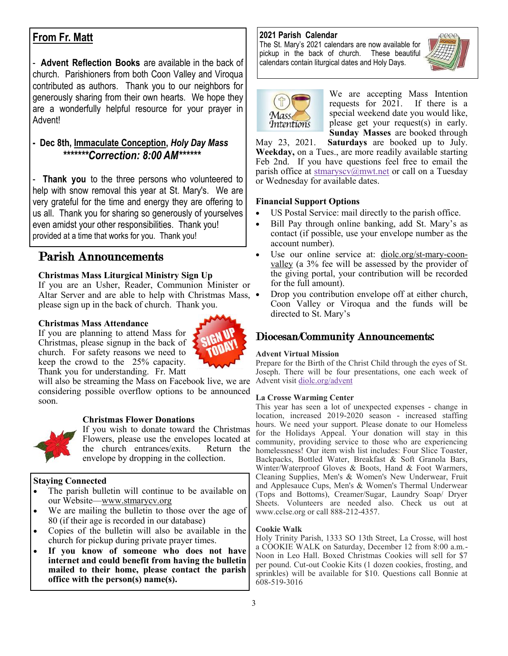## **From Fr. Matt**

- **Advent Reflection Books** are available in the back of church. Parishioners from both Coon Valley and Viroqua contributed as authors. Thank you to our neighbors for generously sharing from their own hearts. We hope they are a wonderfully helpful resource for your prayer in Advent!

## **- Dec 8th, Immaculate Conception,** *Holy Day Mass \*\*\*\*\*\*\*Correction: 8:00 AM\*\*\*\*\*\**

- **Thank you** to the three persons who volunteered to help with snow removal this year at St. Mary's. We are very grateful for the time and energy they are offering to us all. Thank you for sharing so generously of yourselves even amidst your other responsibilities. Thank you! provided at a time that works for you. Thank you!

## Parish Announcements

## **Christmas Mass Liturgical Ministry Sign Up**

If you are an Usher, Reader, Communion Minister or Altar Server and are able to help with Christmas Mass, • please sign up in the back of church. Thank you.

#### **Christmas Mass Attendance**



If you are planning to attend Mass for Christmas, please signup in the back of church. For safety reasons we need to keep the crowd to the 25% capacity. Thank you for understanding. Fr. Matt

will also be streaming the Mass on Facebook live, we are considering possible overflow options to be announced soon.

## **Christmas Flower Donations**



If you wish to donate toward the Christmas Flowers, please use the envelopes located at the church entrances/exits. envelope by dropping in the collection.

## **Staying Connected**

- The parish bulletin will continue to be available on our Website—[www.stmarycv.org](http://www.stmarycv.org)
- We are mailing the bulletin to those over the age of 80 (if their age is recorded in our database)
- Copies of the bulletin will also be available in the church for pickup during private prayer times.
- **If you know of someone who does not have internet and could benefit from having the bulletin mailed to their home, please contact the parish office with the person(s) name(s).**

## **2021 Parish Calendar**

The St. Mary's 2021 calendars are now available for pickup in the back of church. These beautiful calendars contain liturgical dates and Holy Days.





We are accepting Mass Intention requests for 2021. If there is a special weekend date you would like, please get your request(s) in early. **Sunday Masses** are booked through

May 23, 2021. **Saturdays** are booked up to July. **Weekday,** on a Tues., are more readily available starting Feb 2nd. If you have questions feel free to email the parish office at [stmaryscv@mwt.net](mailto:stmaryscv@mwt.net?subject=Mass%20Intentions) or call on a Tuesday or Wednesday for available dates.

## **Financial Support Options**

- US Postal Service: mail directly to the parish office.
- Bill Pay through online banking, add St. Mary's as contact (if possible, use your envelope number as the account number).
- Use our online service at: [diolc.org/st-mary-coon](http://www.diolc.org/st-mary-coon-valley)[valley](http://www.diolc.org/st-mary-coon-valley) (a 3% fee will be assessed by the provider of the giving portal, your contribution will be recorded for the full amount).
- Drop you contribution envelope off at either church, Coon Valley or Viroqua and the funds will be directed to St. Mary's

## Diocesan/Community Announcements:

#### **Advent Virtual Mission**

Prepare for the Birth of the Christ Child through the eyes of St. Joseph. There will be four presentations, one each week of Advent visit <diolc.org/advent>

#### **La Crosse Warming Center**

This year has seen a lot of unexpected expenses - change in location, increased 2019-2020 season - increased staffing hours. We need your support. Please donate to our Homeless for the Holidays Appeal. Your donation will stay in this community, providing service to those who are experiencing Return the homelessness! Our item wish list includes: Four Slice Toaster, Backpacks, Bottled Water, Breakfast & Soft Granola Bars, Winter/Waterproof Gloves & Boots, Hand & Foot Warmers, Cleaning Supplies, Men's & Women's New Underwear, Fruit and Applesauce Cups, Men's & Women's Thermal Underwear (Tops and Bottoms), Creamer/Sugar, Laundry Soap/ Dryer Sheets. Volunteers are needed also. Check us out at www.cclse.org or call 888-212-4357.

#### **Cookie Walk**

Holy Trinity Parish, 1333 SO 13th Street, La Crosse, will host a COOKIE WALK on Saturday, December 12 from 8:00 a.m.- Noon in Leo Hall. Boxed Christmas Cookies will sell for \$7 per pound. Cut-out Cookie Kits (1 dozen cookies, frosting, and sprinkles) will be available for \$10. Questions call Bonnie at 608-519-3016